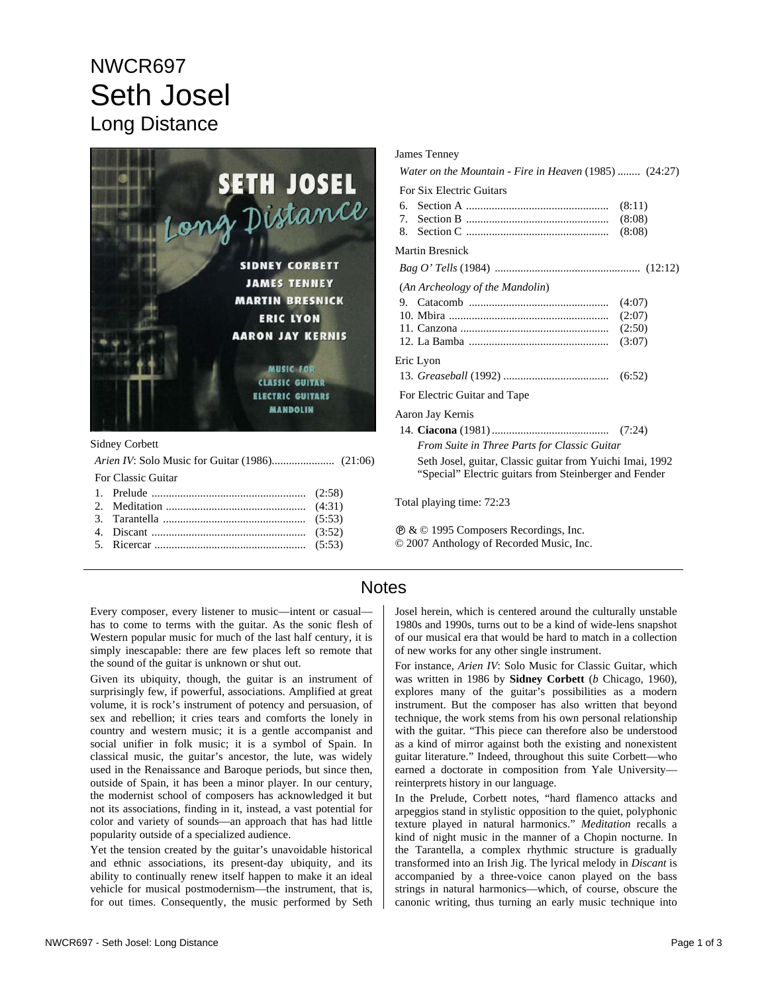# NWCR697 Seth Josel Long Distance



#### Sidney Corbett

| For Classic Guitar |
|--------------------|
|                    |
|                    |
|                    |
|                    |
|                    |

#### James Tenney *Water on the Mountain - Fire in Heaven* (1985) ........ (24:27) For Six Electric Guitars 6. Section A .................................................. (8:11) 7. Section B .................................................. (8:08) 8. Section C .................................................. (8:08) Martin Bresnick *Bag O' Tells* (1984) ................................................... (12:12) (*An Archeology of the Mandolin*) 9. Catacomb ................................................. (4:07) 10. Mbira ........................................................ (2:07) 11. Canzona .................................................... (2:50) 12. La Bamba ................................................. (3:07) Eric Lyon 13. *Greaseball* (1992) ..................................... (6:52) For Electric Guitar and Tape Aaron Jay Kernis 14. **Ciacona** (1981) ......................................... (7:24) *From Suite in Three Parts for Classic Guitar*  Seth Josel, guitar, Classic guitar from Yuichi Imai, 1992 "Special" Electric guitars from Steinberger and Fender

Total playing time: 72:23

Ê & © 1995 Composers Recordings, Inc. © 2007 Anthology of Recorded Music, Inc.

### **Notes**

Every composer, every listener to music—intent or casual has to come to terms with the guitar. As the sonic flesh of Western popular music for much of the last half century, it is simply inescapable: there are few places left so remote that the sound of the guitar is unknown or shut out.

Given its ubiquity, though, the guitar is an instrument of surprisingly few, if powerful, associations. Amplified at great volume, it is rock's instrument of potency and persuasion, of sex and rebellion; it cries tears and comforts the lonely in country and western music; it is a gentle accompanist and social unifier in folk music; it is a symbol of Spain. In classical music, the guitar's ancestor, the lute, was widely used in the Renaissance and Baroque periods, but since then, outside of Spain, it has been a minor player. In our century, the modernist school of composers has acknowledged it but not its associations, finding in it, instead, a vast potential for color and variety of sounds—an approach that has had little popularity outside of a specialized audience.

Yet the tension created by the guitar's unavoidable historical and ethnic associations, its present-day ubiquity, and its ability to continually renew itself happen to make it an ideal vehicle for musical postmodernism—the instrument, that is, for out times. Consequently, the music performed by Seth Josel herein, which is centered around the culturally unstable 1980s and 1990s, turns out to be a kind of wide-lens snapshot of our musical era that would be hard to match in a collection of new works for any other single instrument.

For instance, *Arien IV*: Solo Music for Classic Guitar, which was written in 1986 by **Sidney Corbett** (*b* Chicago, 1960), explores many of the guitar's possibilities as a modern instrument. But the composer has also written that beyond technique, the work stems from his own personal relationship with the guitar. "This piece can therefore also be understood as a kind of mirror against both the existing and nonexistent guitar literature." Indeed, throughout this suite Corbett—who earned a doctorate in composition from Yale University reinterprets history in our language.

In the Prelude, Corbett notes, "hard flamenco attacks and arpeggios stand in stylistic opposition to the quiet, polyphonic texture played in natural harmonics." *Meditation* recalls a kind of night music in the manner of a Chopin nocturne. In the Tarantella, a complex rhythmic structure is gradually transformed into an Irish Jig. The lyrical melody in *Discant* is accompanied by a three-voice canon played on the bass strings in natural harmonics—which, of course, obscure the canonic writing, thus turning an early music technique into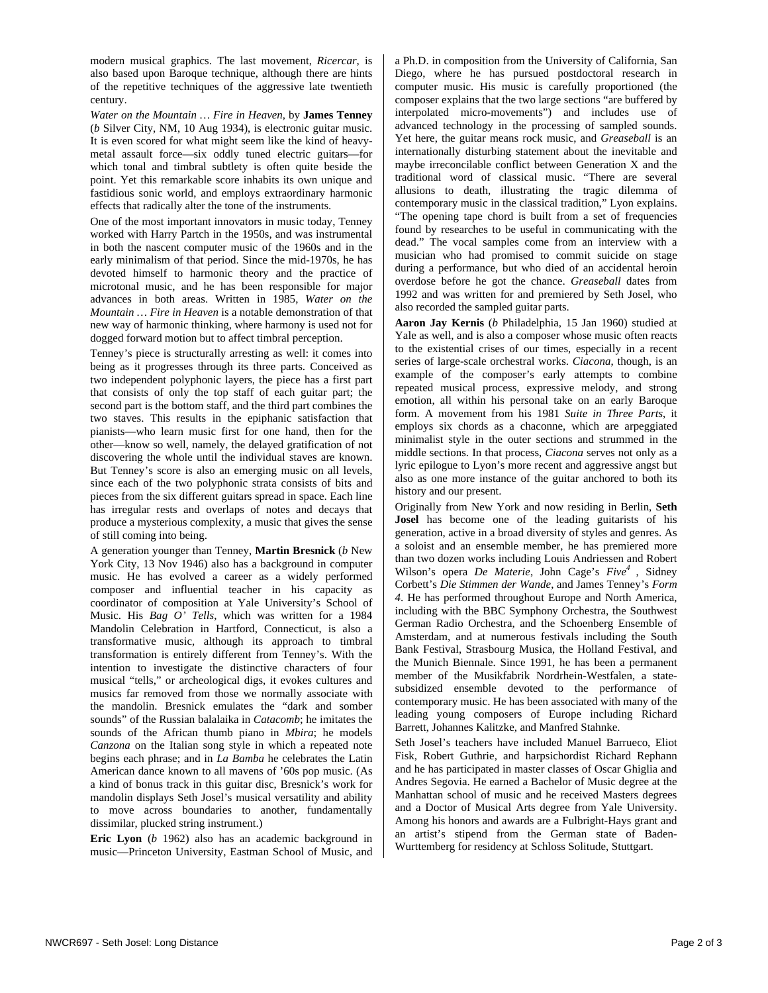modern musical graphics. The last movement, *Ricercar*, is also based upon Baroque technique, although there are hints of the repetitive techniques of the aggressive late twentieth century.

*Water on the Mountain … Fire in Heaven*, by **James Tenney** (*b* Silver City, NM, 10 Aug 1934), is electronic guitar music. It is even scored for what might seem like the kind of heavymetal assault force—six oddly tuned electric guitars—for which tonal and timbral subtlety is often quite beside the point. Yet this remarkable score inhabits its own unique and fastidious sonic world, and employs extraordinary harmonic effects that radically alter the tone of the instruments.

One of the most important innovators in music today, Tenney worked with Harry Partch in the 1950s, and was instrumental in both the nascent computer music of the 1960s and in the early minimalism of that period. Since the mid-1970s, he has devoted himself to harmonic theory and the practice of microtonal music, and he has been responsible for major advances in both areas. Written in 1985, *Water on the Mountain … Fire in Heaven* is a notable demonstration of that new way of harmonic thinking, where harmony is used not for dogged forward motion but to affect timbral perception.

Tenney's piece is structurally arresting as well: it comes into being as it progresses through its three parts. Conceived as two independent polyphonic layers, the piece has a first part that consists of only the top staff of each guitar part; the second part is the bottom staff, and the third part combines the two staves. This results in the epiphanic satisfaction that pianists—who learn music first for one hand, then for the other—know so well, namely, the delayed gratification of not discovering the whole until the individual staves are known. But Tenney's score is also an emerging music on all levels, since each of the two polyphonic strata consists of bits and pieces from the six different guitars spread in space. Each line has irregular rests and overlaps of notes and decays that produce a mysterious complexity, a music that gives the sense of still coming into being.

A generation younger than Tenney, **Martin Bresnick** (*b* New York City, 13 Nov 1946) also has a background in computer music. He has evolved a career as a widely performed composer and influential teacher in his capacity as coordinator of composition at Yale University's School of Music. His *Bag O' Tells*, which was written for a 1984 Mandolin Celebration in Hartford, Connecticut, is also a transformative music, although its approach to timbral transformation is entirely different from Tenney's. With the intention to investigate the distinctive characters of four musical "tells," or archeological digs, it evokes cultures and musics far removed from those we normally associate with the mandolin. Bresnick emulates the "dark and somber sounds" of the Russian balalaika in *Catacomb*; he imitates the sounds of the African thumb piano in *Mbira*; he models *Canzona* on the Italian song style in which a repeated note begins each phrase; and in *La Bamba* he celebrates the Latin American dance known to all mavens of '60s pop music. (As a kind of bonus track in this guitar disc, Bresnick's work for mandolin displays Seth Josel's musical versatility and ability to move across boundaries to another, fundamentally dissimilar, plucked string instrument.)

**Eric Lyon** (*b* 1962) also has an academic background in music—Princeton University, Eastman School of Music, and a Ph.D. in composition from the University of California, San Diego, where he has pursued postdoctoral research in computer music. His music is carefully proportioned (the composer explains that the two large sections "are buffered by interpolated micro-movements") and includes use of advanced technology in the processing of sampled sounds. Yet here, the guitar means rock music, and *Greaseball* is an internationally disturbing statement about the inevitable and maybe irreconcilable conflict between Generation X and the traditional word of classical music. "There are several allusions to death, illustrating the tragic dilemma of contemporary music in the classical tradition," Lyon explains. "The opening tape chord is built from a set of frequencies found by researches to be useful in communicating with the dead." The vocal samples come from an interview with a musician who had promised to commit suicide on stage during a performance, but who died of an accidental heroin overdose before he got the chance. *Greaseball* dates from 1992 and was written for and premiered by Seth Josel, who also recorded the sampled guitar parts.

**Aaron Jay Kernis** (*b* Philadelphia, 15 Jan 1960) studied at Yale as well, and is also a composer whose music often reacts to the existential crises of our times, especially in a recent series of large-scale orchestral works. *Ciacona*, though, is an example of the composer's early attempts to combine repeated musical process, expressive melody, and strong emotion, all within his personal take on an early Baroque form. A movement from his 1981 *Suite in Three Parts*, it employs six chords as a chaconne, which are arpeggiated minimalist style in the outer sections and strummed in the middle sections. In that process, *Ciacona* serves not only as a lyric epilogue to Lyon's more recent and aggressive angst but also as one more instance of the guitar anchored to both its history and our present.

Originally from New York and now residing in Berlin, **Seth Josel** has become one of the leading guitarists of his generation, active in a broad diversity of styles and genres. As a soloist and an ensemble member, he has premiered more than two dozen works including Louis Andriessen and Robert Wilson's opera *De Materie*, John Cage's *Five<sup>4</sup>*, Sidney Corbett's *Die Stimmen der Wande*, and James Tenney's *Form 4*. He has performed throughout Europe and North America, including with the BBC Symphony Orchestra, the Southwest German Radio Orchestra, and the Schoenberg Ensemble of Amsterdam, and at numerous festivals including the South Bank Festival, Strasbourg Musica, the Holland Festival, and the Munich Biennale. Since 1991, he has been a permanent member of the Musikfabrik Nordrhein-Westfalen, a statesubsidized ensemble devoted to the performance of contemporary music. He has been associated with many of the leading young composers of Europe including Richard Barrett, Johannes Kalitzke, and Manfred Stahnke.

Seth Josel's teachers have included Manuel Barrueco, Eliot Fisk, Robert Guthrie, and harpsichordist Richard Rephann and he has participated in master classes of Oscar Ghiglia and Andres Segovia. He earned a Bachelor of Music degree at the Manhattan school of music and he received Masters degrees and a Doctor of Musical Arts degree from Yale University. Among his honors and awards are a Fulbright-Hays grant and an artist's stipend from the German state of Baden-Wurttemberg for residency at Schloss Solitude, Stuttgart.